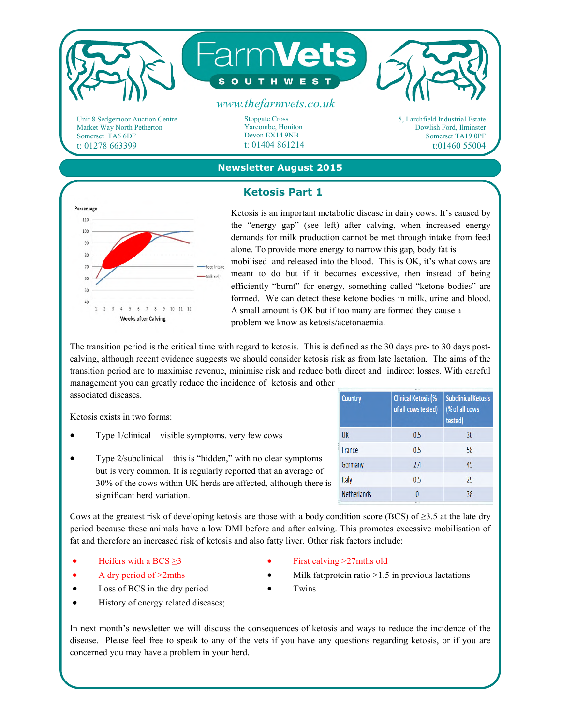

### **Newsletter August 2015**

# **Ketosis Part 1**



Ketosis is an important metabolic disease in dairy cows. It's caused by the "energy gap" (see left) after calving, when increased energy demands for milk production cannot be met through intake from feed alone. To provide more energy to narrow this gap, body fat is mobilised and released into the blood. This is OK, it's what cows are meant to do but if it becomes excessive, then instead of being efficiently "burnt" for energy, something called "ketone bodies" are formed. We can detect these ketone bodies in milk, urine and blood. A small amount is OK but if too many are formed they cause a problem we know as ketosis/acetonaemia.

The transition period is the critical time with regard to ketosis. This is defined as the 30 days pre- to 30 days postcalving, although recent evidence suggests we should consider ketosis risk as from late lactation. The aims of the transition period are to maximise revenue, minimise risk and reduce both direct and indirect losses. With careful management you can greatly reduce the incidence of ketosis and other

associated diseases.

Ketosis exists in two forms:

- Type 1/clinical visible symptoms, very few cows
- Type 2/subclinical this is "hidden," with no clear symptoms but is very common. It is regularly reported that an average of 30% of the cows within UK herds are affected, although there is significant herd variation.

| Country                  | <br><b>Clinical Ketosis (%</b><br>of all cows tested) | <b>Subclinical Ketosis</b><br>(% of all cows<br>tested) |
|--------------------------|-------------------------------------------------------|---------------------------------------------------------|
| <b>UK</b>                | 0.5                                                   | 30                                                      |
| France                   | 0.5                                                   | 58                                                      |
| Germany                  | 2.4                                                   | 45                                                      |
| Italy                    | 0.5                                                   | 29                                                      |
| <b>Netherlands</b><br>ĩ. | Λ<br>                                                 | 38                                                      |

Cows at the greatest risk of developing ketosis are those with a body condition score (BCS) of  $\geq$ 3.5 at the late dry period because these animals have a low DMI before and after calving. This promotes excessive mobilisation of fat and therefore an increased risk of ketosis and also fatty liver. Other risk factors include:

Heifers with a BCS  $\geq$ 3

- First calving >27mths old
- A dry period of >2mths
- Loss of BCS in the dry period
- 
- Milk fat: protein ratio  $>1.5$  in previous lactations
- Twins
- History of energy related diseases;

In next month's newsletter we will discuss the consequences of ketosis and ways to reduce the incidence of the disease. Please feel free to speak to any of the vets if you have any questions regarding ketosis, or if you are concerned you may have a problem in your herd.